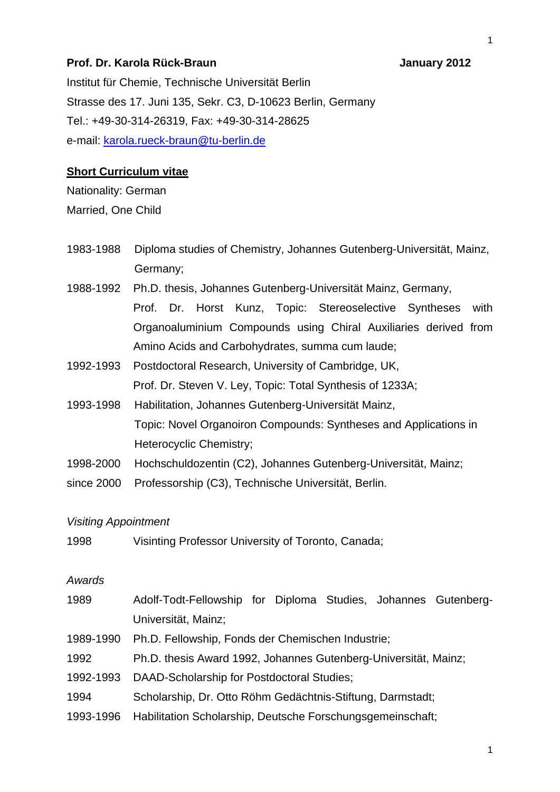## **Prof. Dr. Karola Rück-Braun January 2012**

Institut für Chemie, Technische Universität Berlin Strasse des 17. Juni 135, Sekr. C3, D-10623 Berlin, Germany Tel.: +49-30-314-26319, Fax: +49-30-314-28625 e-mail: [karola.rueck-braun@tu-berlin.de](mailto:karola.rueck-braun@tu-berlin.de)

#### **Short Curriculum vitae**

Nationality: German Married, One Child

- 1983-1988 Diploma studies of Chemistry, Johannes Gutenberg-Universität, Mainz, Germany;
- 1988-1992 Ph.D. thesis, Johannes Gutenberg-Universität Mainz, Germany, Prof. Dr. Horst Kunz, Topic: Stereoselective Syntheses with Organoaluminium Compounds using Chiral Auxiliaries derived from Amino Acids and Carbohydrates, summa cum laude;
- 1992-1993 Postdoctoral Research, University of Cambridge, UK, Prof. Dr. Steven V. Ley, Topic: Total Synthesis of 1233A;
- 1993-1998 Habilitation, Johannes Gutenberg-Universität Mainz, Topic: Novel Organoiron Compounds: Syntheses and Applications in Heterocyclic Chemistry;
- 1998-2000 Hochschuldozentin (C2), Johannes Gutenberg-Universität, Mainz;
- since 2000 Professorship (C3), Technische Universität, Berlin.

#### *Visiting Appointment*

1998 Visinting Professor University of Toronto, Canada;

# *Awards*

- 1989 Adolf-Todt-Fellowship for Diploma Studies, Johannes Gutenberg-Universität, Mainz;
- 1989-1990 Ph.D. Fellowship, Fonds der Chemischen Industrie;
- 1992 Ph.D. thesis Award 1992, Johannes Gutenberg-Universität, Mainz;
- 1992-1993 DAAD-Scholarship for Postdoctoral Studies;
- 1994 Scholarship, Dr. Otto Röhm Gedächtnis-Stiftung, Darmstadt;
- 1993-1996 Habilitation Scholarship, Deutsche Forschungsgemeinschaft;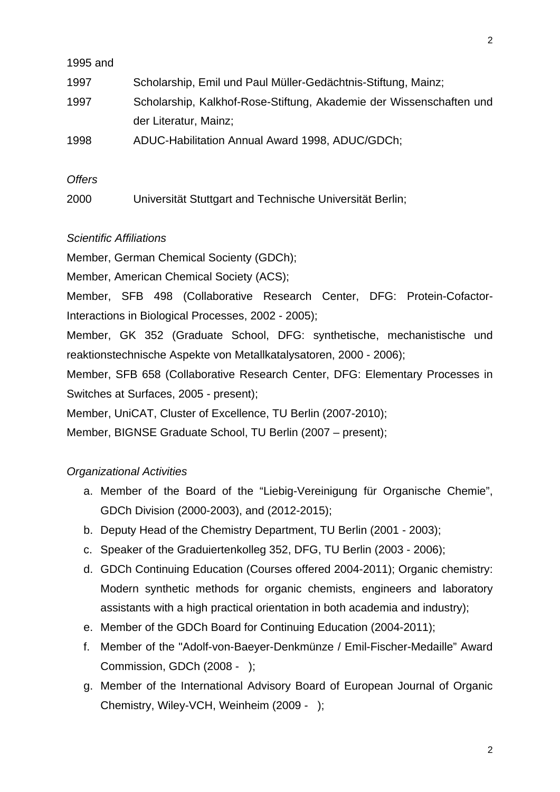| I<br>۰,<br>I |
|--------------|
|              |

## 1995 and

| 1997 | Scholarship, Emil und Paul Müller-Gedächtnis-Stiftung, Mainz;       |
|------|---------------------------------------------------------------------|
| 1997 | Scholarship, Kalkhof-Rose-Stiftung, Akademie der Wissenschaften und |
|      | der Literatur, Mainz;                                               |
| 1998 | ADUC-Habilitation Annual Award 1998, ADUC/GDCh;                     |
|      |                                                                     |

# *Offers*

2000 Universität Stuttgart and Technische Universität Berlin;

# *Scientific Affiliations*

Member, German Chemical Socienty (GDCh);

Member, American Chemical Society (ACS);

Member, SFB 498 (Collaborative Research Center, DFG: Protein-Cofactor-Interactions in Biological Processes, 2002 - 2005);

Member, GK 352 (Graduate School, DFG: synthetische, mechanistische und reaktionstechnische Aspekte von Metallkatalysatoren, 2000 - 2006);

Member, SFB 658 (Collaborative Research Center, DFG: Elementary Processes in Switches at Surfaces, 2005 - present);

Member, UniCAT, Cluster of Excellence, TU Berlin (2007-2010);

Member, BIGNSE Graduate School, TU Berlin (2007 – present);

# *Organizational Activities*

- a. Member of the Board of the "Liebig-Vereinigung für Organische Chemie", GDCh Division (2000-2003), and (2012-2015);
- b. Deputy Head of the Chemistry Department, TU Berlin (2001 2003);
- c. Speaker of the Graduiertenkolleg 352, DFG, TU Berlin (2003 2006);
- d. GDCh Continuing Education (Courses offered 2004-2011); Organic chemistry: Modern synthetic methods for organic chemists, engineers and laboratory assistants with a high practical orientation in both academia and industry);
- e. Member of the GDCh Board for Continuing Education (2004-2011);
- f. Member of the "Adolf-von-Baeyer-Denkmünze / Emil-Fischer-Medaille" Award Commission, GDCh (2008 - );
- g. Member of the International Advisory Board of European Journal of Organic Chemistry, Wiley-VCH, Weinheim (2009 - );